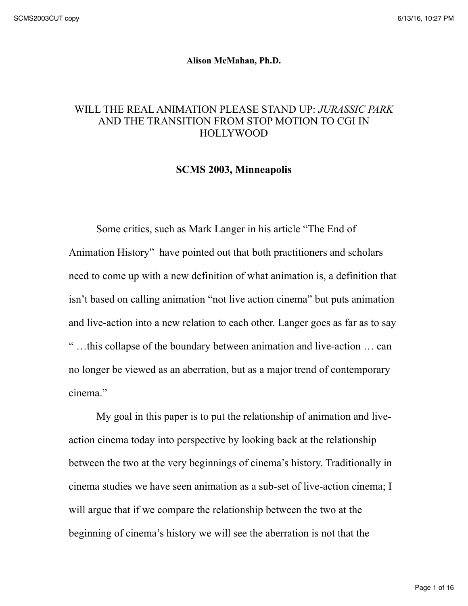## **Alison McMahan, Ph.D.**

## WILL THE REAL ANIMATION PLEASE STAND UP: *JURASSIC PARK* AND THE TRANSITION FROM STOP MOTION TO CGI IN HOLLYWOOD

## **SCMS 2003, Minneapolis**

Some critics, such as Mark Langer in his article "The End of Animation History" have pointed out that both practitioners and scholars need to come up with a new definition of what animation is, a definition that isn't based on calling animation "not live action cinema" but puts animation and live-action into a new relation to each other. Langer goes as far as to say " …this collapse of the boundary between animation and live-action … can no longer be viewed as an aberration, but as a major trend of contemporary cinema."

My goal in this paper is to put the relationship of animation and liveaction cinema today into perspective by looking back at the relationship between the two at the very beginnings of cinema's history. Traditionally in cinema studies we have seen animation as a sub-set of live-action cinema; I will argue that if we compare the relationship between the two at the beginning of cinema's history we will see the aberration is not that the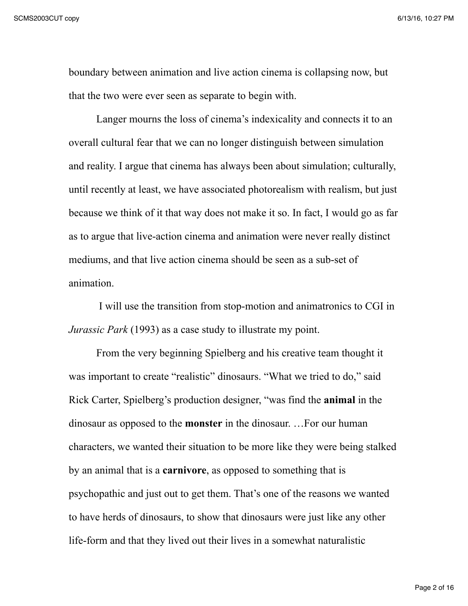boundary between animation and live action cinema is collapsing now, but that the two were ever seen as separate to begin with.

Langer mourns the loss of cinema's indexicality and connects it to an overall cultural fear that we can no longer distinguish between simulation and reality. I argue that cinema has always been about simulation; culturally, until recently at least, we have associated photorealism with realism, but just because we think of it that way does not make it so. In fact, I would go as far as to argue that live-action cinema and animation were never really distinct mediums, and that live action cinema should be seen as a sub-set of animation.

 I will use the transition from stop-motion and animatronics to CGI in *Jurassic Park* (1993) as a case study to illustrate my point.

From the very beginning Spielberg and his creative team thought it was important to create "realistic" dinosaurs. "What we tried to do," said Rick Carter, Spielberg's production designer, "was find the **animal** in the dinosaur as opposed to the **monster** in the dinosaur. …For our human characters, we wanted their situation to be more like they were being stalked by an animal that is a **carnivore**, as opposed to something that is psychopathic and just out to get them. That's one of the reasons we wanted to have herds of dinosaurs, to show that dinosaurs were just like any other life-form and that they lived out their lives in a somewhat naturalistic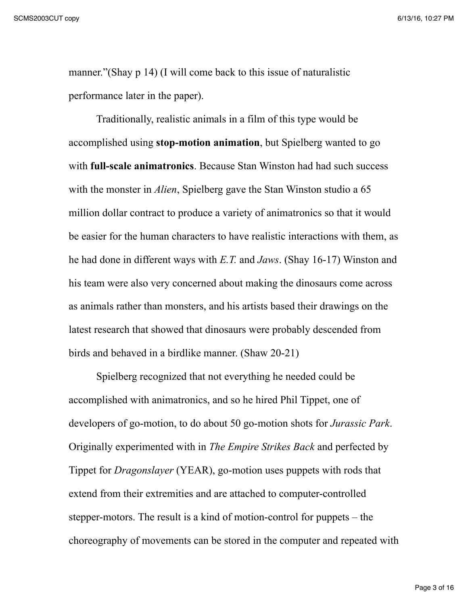manner."(Shay p 14) (I will come back to this issue of naturalistic performance later in the paper).

Traditionally, realistic animals in a film of this type would be accomplished using **stop-motion animation**, but Spielberg wanted to go with **full-scale animatronics**. Because Stan Winston had had such success with the monster in *Alien*, Spielberg gave the Stan Winston studio a 65 million dollar contract to produce a variety of animatronics so that it would be easier for the human characters to have realistic interactions with them, as he had done in different ways with *E.T.* and *Jaws*. (Shay 16-17) Winston and his team were also very concerned about making the dinosaurs come across as animals rather than monsters, and his artists based their drawings on the latest research that showed that dinosaurs were probably descended from birds and behaved in a birdlike manner. (Shaw 20-21)

Spielberg recognized that not everything he needed could be accomplished with animatronics, and so he hired Phil Tippet, one of developers of go-motion, to do about 50 go-motion shots for *Jurassic Park*. Originally experimented with in *The Empire Strikes Back* and perfected by Tippet for *Dragonslayer* (YEAR), go-motion uses puppets with rods that extend from their extremities and are attached to computer-controlled stepper-motors. The result is a kind of motion-control for puppets – the choreography of movements can be stored in the computer and repeated with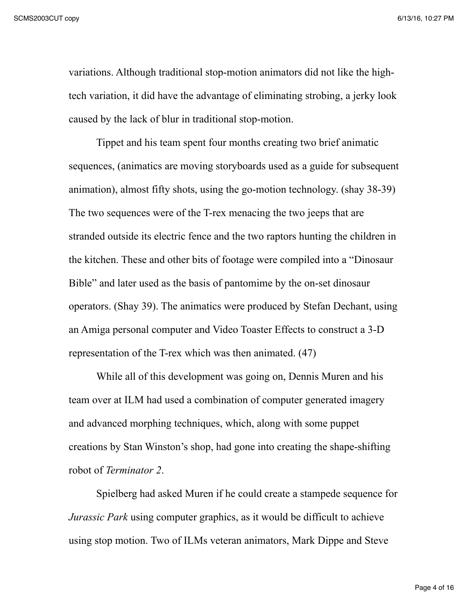variations. Although traditional stop-motion animators did not like the hightech variation, it did have the advantage of eliminating strobing, a jerky look caused by the lack of blur in traditional stop-motion.

Tippet and his team spent four months creating two brief animatic sequences, (animatics are moving storyboards used as a guide for subsequent animation), almost fifty shots, using the go-motion technology. (shay 38-39) The two sequences were of the T-rex menacing the two jeeps that are stranded outside its electric fence and the two raptors hunting the children in the kitchen. These and other bits of footage were compiled into a "Dinosaur Bible" and later used as the basis of pantomime by the on-set dinosaur operators. (Shay 39). The animatics were produced by Stefan Dechant, using an Amiga personal computer and Video Toaster Effects to construct a 3-D representation of the T-rex which was then animated. (47)

While all of this development was going on, Dennis Muren and his team over at ILM had used a combination of computer generated imagery and advanced morphing techniques, which, along with some puppet creations by Stan Winston's shop, had gone into creating the shape-shifting robot of *Terminator 2*.

Spielberg had asked Muren if he could create a stampede sequence for *Jurassic Park* using computer graphics, as it would be difficult to achieve using stop motion. Two of ILMs veteran animators, Mark Dippe and Steve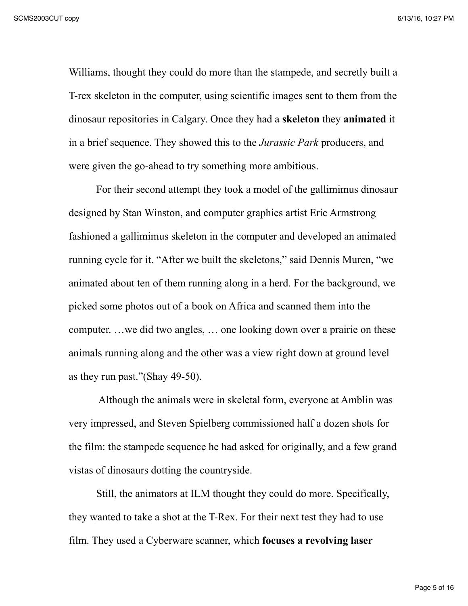Williams, thought they could do more than the stampede, and secretly built a T-rex skeleton in the computer, using scientific images sent to them from the dinosaur repositories in Calgary. Once they had a **skeleton** they **animated** it in a brief sequence. They showed this to the *Jurassic Park* producers, and were given the go-ahead to try something more ambitious.

For their second attempt they took a model of the gallimimus dinosaur designed by Stan Winston, and computer graphics artist Eric Armstrong fashioned a gallimimus skeleton in the computer and developed an animated running cycle for it. "After we built the skeletons," said Dennis Muren, "we animated about ten of them running along in a herd. For the background, we picked some photos out of a book on Africa and scanned them into the computer. …we did two angles, … one looking down over a prairie on these animals running along and the other was a view right down at ground level as they run past."(Shay 49-50).

 Although the animals were in skeletal form, everyone at Amblin was very impressed, and Steven Spielberg commissioned half a dozen shots for the film: the stampede sequence he had asked for originally, and a few grand vistas of dinosaurs dotting the countryside.

Still, the animators at ILM thought they could do more. Specifically, they wanted to take a shot at the T-Rex. For their next test they had to use film. They used a Cyberware scanner, which **focuses a revolving laser**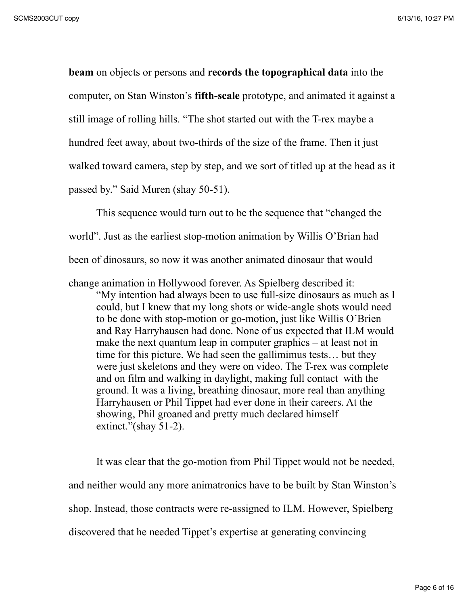**beam** on objects or persons and **records the topographical data** into the computer, on Stan Winston's **fifth-scale** prototype, and animated it against a still image of rolling hills. "The shot started out with the T-rex maybe a hundred feet away, about two-thirds of the size of the frame. Then it just walked toward camera, step by step, and we sort of titled up at the head as it passed by." Said Muren (shay 50-51).

This sequence would turn out to be the sequence that "changed the world". Just as the earliest stop-motion animation by Willis O'Brian had been of dinosaurs, so now it was another animated dinosaur that would

change animation in Hollywood forever. As Spielberg described it:

"My intention had always been to use full-size dinosaurs as much as I could, but I knew that my long shots or wide-angle shots would need to be done with stop-motion or go-motion, just like Willis O'Brien and Ray Harryhausen had done. None of us expected that ILM would make the next quantum leap in computer graphics – at least not in time for this picture. We had seen the gallimimus tests… but they were just skeletons and they were on video. The T-rex was complete and on film and walking in daylight, making full contact with the ground. It was a living, breathing dinosaur, more real than anything Harryhausen or Phil Tippet had ever done in their careers. At the showing, Phil groaned and pretty much declared himself extinct."(shay 51-2).

It was clear that the go-motion from Phil Tippet would not be needed, and neither would any more animatronics have to be built by Stan Winston's shop. Instead, those contracts were re-assigned to ILM. However, Spielberg discovered that he needed Tippet's expertise at generating convincing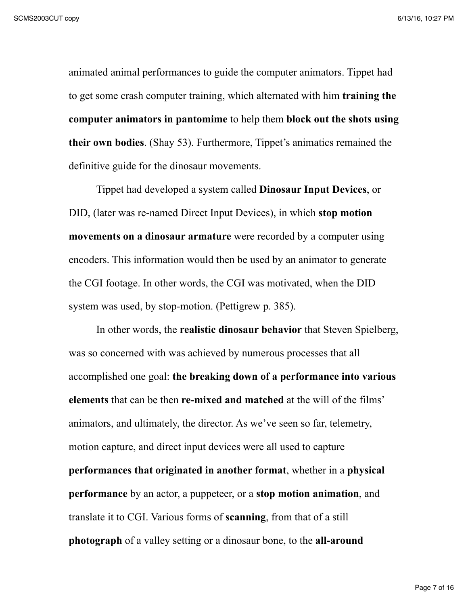animated animal performances to guide the computer animators. Tippet had to get some crash computer training, which alternated with him **training the computer animators in pantomime** to help them **block out the shots using their own bodies**. (Shay 53). Furthermore, Tippet's animatics remained the definitive guide for the dinosaur movements.

Tippet had developed a system called **Dinosaur Input Devices**, or DID, (later was re-named Direct Input Devices), in which **stop motion movements on a dinosaur armature** were recorded by a computer using encoders. This information would then be used by an animator to generate the CGI footage. In other words, the CGI was motivated, when the DID system was used, by stop-motion. (Pettigrew p. 385).

In other words, the **realistic dinosaur behavior** that Steven Spielberg, was so concerned with was achieved by numerous processes that all accomplished one goal: **the breaking down of a performance into various elements** that can be then **re-mixed and matched** at the will of the films' animators, and ultimately, the director. As we've seen so far, telemetry, motion capture, and direct input devices were all used to capture **performances that originated in another format**, whether in a **physical performance** by an actor, a puppeteer, or a **stop motion animation**, and translate it to CGI. Various forms of **scanning**, from that of a still **photograph** of a valley setting or a dinosaur bone, to the **all-around**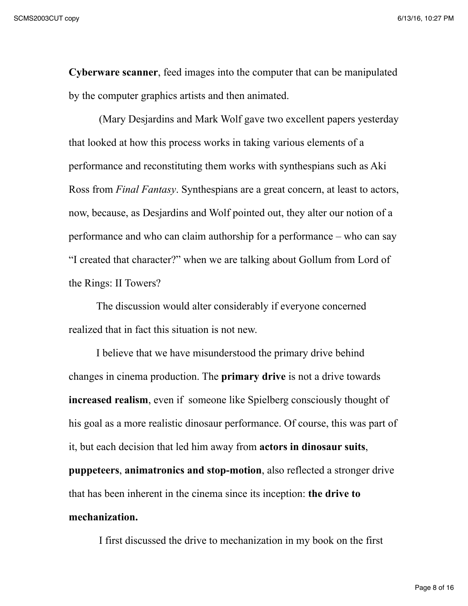**Cyberware scanner**, feed images into the computer that can be manipulated by the computer graphics artists and then animated.

 (Mary Desjardins and Mark Wolf gave two excellent papers yesterday that looked at how this process works in taking various elements of a performance and reconstituting them works with synthespians such as Aki Ross from *Final Fantasy*. Synthespians are a great concern, at least to actors, now, because, as Desjardins and Wolf pointed out, they alter our notion of a performance and who can claim authorship for a performance – who can say "I created that character?" when we are talking about Gollum from Lord of the Rings: II Towers?

The discussion would alter considerably if everyone concerned realized that in fact this situation is not new.

I believe that we have misunderstood the primary drive behind changes in cinema production. The **primary drive** is not a drive towards **increased realism**, even if someone like Spielberg consciously thought of his goal as a more realistic dinosaur performance. Of course, this was part of it, but each decision that led him away from **actors in dinosaur suits**, **puppeteers**, **animatronics and stop-motion**, also reflected a stronger drive that has been inherent in the cinema since its inception: **the drive to mechanization.**

I first discussed the drive to mechanization in my book on the first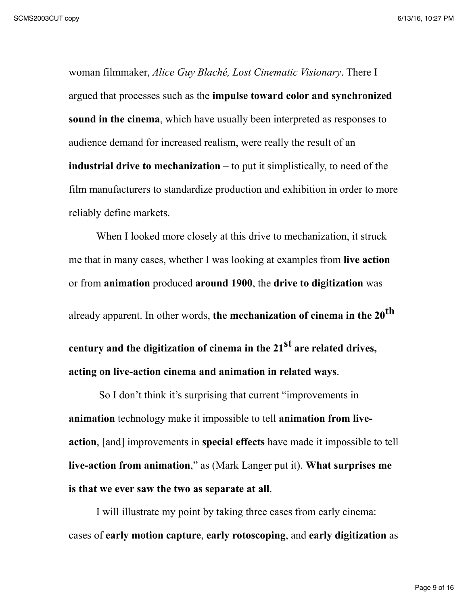woman filmmaker, *Alice Guy Blaché, Lost Cinematic Visionary*. There I argued that processes such as the **impulse toward color and synchronized sound in the cinema**, which have usually been interpreted as responses to audience demand for increased realism, were really the result of an **industrial drive to mechanization** – to put it simplistically, to need of the film manufacturers to standardize production and exhibition in order to more reliably define markets.

When I looked more closely at this drive to mechanization, it struck me that in many cases, whether I was looking at examples from **live action** or from **animation** produced **around 1900**, the **drive to digitization** was already apparent. In other words, **the mechanization of cinema in the 20th century and the digitization of cinema in the 21st are related drives, acting on live-action cinema and animation in related ways**.

 So I don't think it's surprising that current "improvements in **animation** technology make it impossible to tell **animation from liveaction**, [and] improvements in **special effects** have made it impossible to tell **live-action from animation**," as (Mark Langer put it). **What surprises me is that we ever saw the two as separate at all**.

I will illustrate my point by taking three cases from early cinema: cases of **early motion capture**, **early rotoscoping**, and **early digitization** as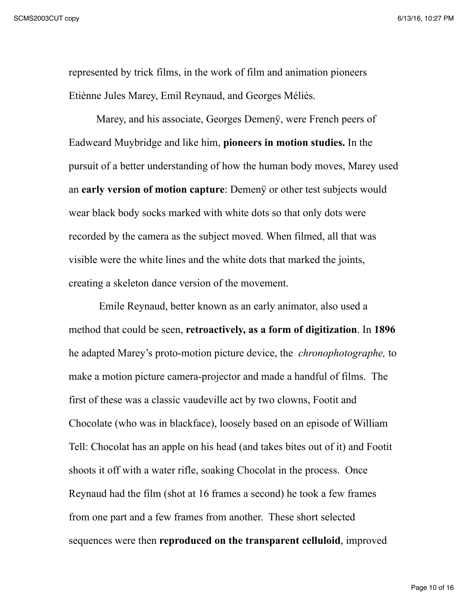represented by trick films, in the work of film and animation pioneers Etiènne Jules Marey, Emil Reynaud, and Georges Méliès.

Marey, and his associate, Georges Demenÿ, were French peers of Eadweard Muybridge and like him, **pioneers in motion studies.** In the pursuit of a better understanding of how the human body moves, Marey used an **early version of motion capture**: Demenÿ or other test subjects would wear black body socks marked with white dots so that only dots were recorded by the camera as the subject moved. When filmed, all that was visible were the white lines and the white dots that marked the joints, creating a skeleton dance version of the movement.

 Emile Reynaud, better known as an early animator, also used a method that could be seen, **retroactively, as a form of digitization**. In **1896** he adapted Marey's proto-motion picture device, the *chronophotographe,* to make a motion picture camera-projector and made a handful of films. The first of these was a classic vaudeville act by two clowns, Footit and Chocolate (who was in blackface), loosely based on an episode of William Tell: Chocolat has an apple on his head (and takes bites out of it) and Footit shoots it off with a water rifle, soaking Chocolat in the process. Once Reynaud had the film (shot at 16 frames a second) he took a few frames from one part and a few frames from another. These short selected sequences were then **reproduced on the transparent celluloid**, improved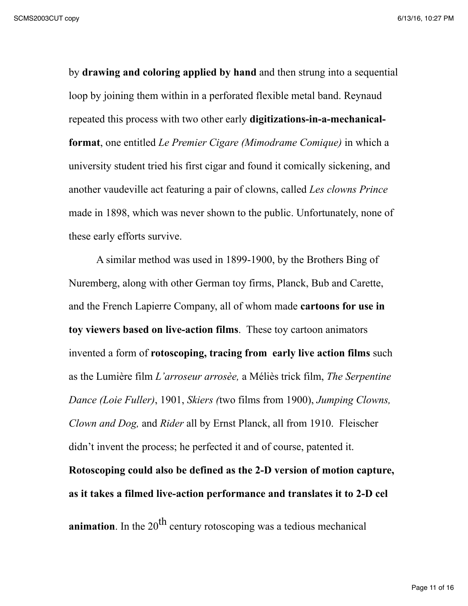by **drawing and coloring applied by hand** and then strung into a sequential loop by joining them within in a perforated flexible metal band. Reynaud repeated this process with two other early **digitizations-in-a-mechanicalformat**, one entitled *Le Premier Cigare (Mimodrame Comique)* in which a university student tried his first cigar and found it comically sickening, and another vaudeville act featuring a pair of clowns, called *Les clowns Prince* made in 1898, which was never shown to the public. Unfortunately, none of these early efforts survive.

A similar method was used in 1899-1900, by the Brothers Bing of Nuremberg, along with other German toy firms, Planck, Bub and Carette, and the French Lapierre Company, all of whom made **cartoons for use in toy viewers based on live-action films**. These toy cartoon animators invented a form of **rotoscoping, tracing from early live action films** such as the Lumière film *L'arroseur arrosèe,* a Méliès trick film, *The Serpentine Dance (Loie Fuller)*, 1901, *Skiers (*two films from 1900), *Jumping Clowns, Clown and Dog,* and *Rider* all by Ernst Planck, all from 1910. Fleischer didn't invent the process; he perfected it and of course, patented it. **Rotoscoping could also be defined as the 2-D version of motion capture, as it takes a filmed live-action performance and translates it to 2-D cel**

**animation**. In the 20<sup>th</sup> century rotoscoping was a tedious mechanical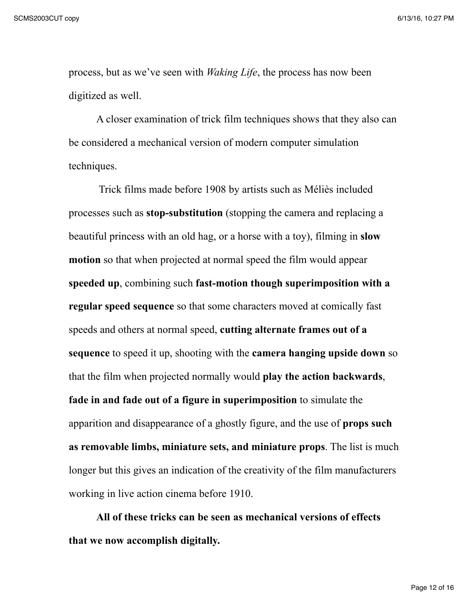process, but as we've seen with *Waking Life*, the process has now been digitized as well.

A closer examination of trick film techniques shows that they also can be considered a mechanical version of modern computer simulation techniques.

 Trick films made before 1908 by artists such as Méliès included processes such as **stop-substitution** (stopping the camera and replacing a beautiful princess with an old hag, or a horse with a toy), filming in **slow motion** so that when projected at normal speed the film would appear **speeded up**, combining such **fast-motion though superimposition with a regular speed sequence** so that some characters moved at comically fast speeds and others at normal speed, **cutting alternate frames out of a sequence** to speed it up, shooting with the **camera hanging upside down** so that the film when projected normally would **play the action backwards**, **fade in and fade out of a figure in superimposition** to simulate the apparition and disappearance of a ghostly figure, and the use of **props such as removable limbs, miniature sets, and miniature props**. The list is much longer but this gives an indication of the creativity of the film manufacturers working in live action cinema before 1910.

**All of these tricks can be seen as mechanical versions of effects that we now accomplish digitally.**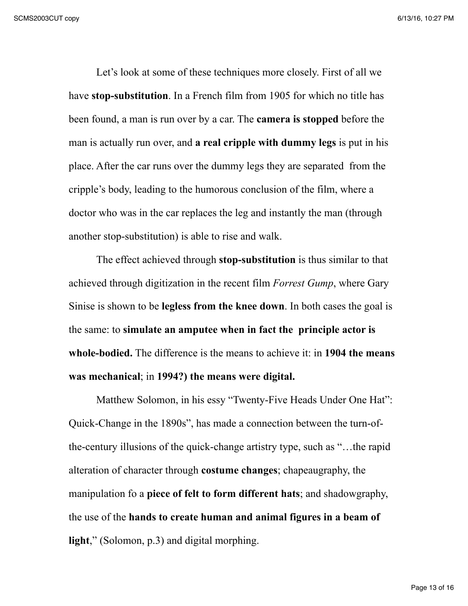Let's look at some of these techniques more closely. First of all we have **stop-substitution**. In a French film from 1905 for which no title has been found, a man is run over by a car. The **camera is stopped** before the man is actually run over, and **a real cripple with dummy legs** is put in his place. After the car runs over the dummy legs they are separated from the cripple's body, leading to the humorous conclusion of the film, where a doctor who was in the car replaces the leg and instantly the man (through another stop-substitution) is able to rise and walk.

The effect achieved through **stop-substitution** is thus similar to that achieved through digitization in the recent film *Forrest Gump*, where Gary Sinise is shown to be **legless from the knee down**. In both cases the goal is the same: to **simulate an amputee when in fact the principle actor is whole-bodied.** The difference is the means to achieve it: in **1904 the means was mechanical**; in **1994?) the means were digital.**

Matthew Solomon, in his essy "Twenty-Five Heads Under One Hat": Quick-Change in the 1890s", has made a connection between the turn-ofthe-century illusions of the quick-change artistry type, such as "…the rapid alteration of character through **costume changes**; chapeaugraphy, the manipulation fo a **piece of felt to form different hats**; and shadowgraphy, the use of the **hands to create human and animal figures in a beam of light**," (Solomon, p.3) and digital morphing.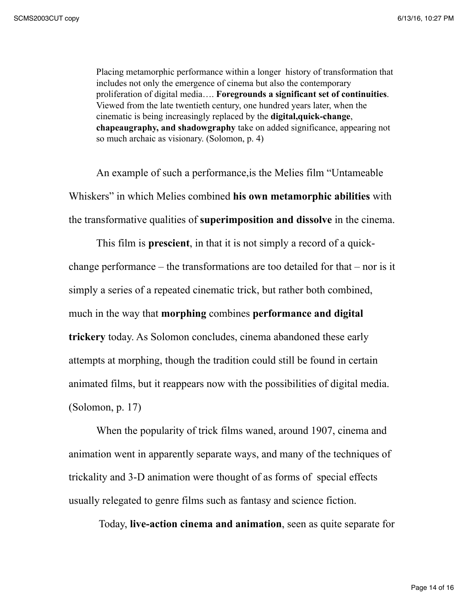Placing metamorphic performance within a longer history of transformation that includes not only the emergence of cinema but also the contemporary proliferation of digital media…. **Foregrounds a significant set of continuities**. Viewed from the late twentieth century, one hundred years later, when the cinematic is being increasingly replaced by the **digital,quick-change**, **chapeaugraphy, and shadowgraphy** take on added significance, appearing not so much archaic as visionary. (Solomon, p. 4)

An example of such a performance,is the Melies film "Untameable Whiskers" in which Melies combined **his own metamorphic abilities** with the transformative qualities of **superimposition and dissolve** in the cinema.

This film is **prescient**, in that it is not simply a record of a quickchange performance – the transformations are too detailed for that – nor is it simply a series of a repeated cinematic trick, but rather both combined, much in the way that **morphing** combines **performance and digital trickery** today. As Solomon concludes, cinema abandoned these early attempts at morphing, though the tradition could still be found in certain animated films, but it reappears now with the possibilities of digital media. (Solomon, p. 17)

When the popularity of trick films waned, around 1907, cinema and animation went in apparently separate ways, and many of the techniques of trickality and 3-D animation were thought of as forms of special effects usually relegated to genre films such as fantasy and science fiction.

Today, **live-action cinema and animation**, seen as quite separate for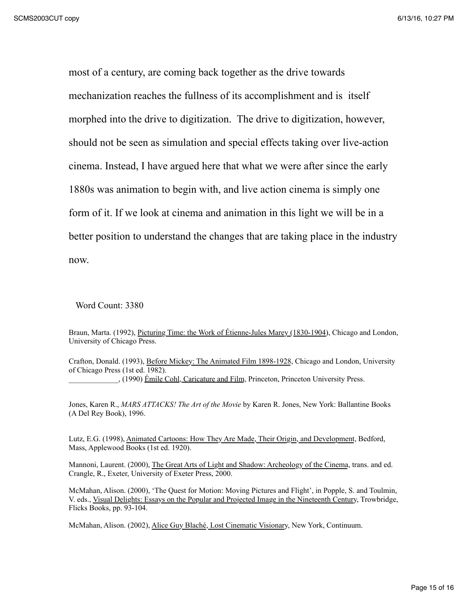most of a century, are coming back together as the drive towards mechanization reaches the fullness of its accomplishment and is itself morphed into the drive to digitization. The drive to digitization, however, should not be seen as simulation and special effects taking over live-action cinema. Instead, I have argued here that what we were after since the early 1880s was animation to begin with, and live action cinema is simply one form of it. If we look at cinema and animation in this light we will be in a better position to understand the changes that are taking place in the industry now.

Word Count: 3380

Braun, Marta. (1992), Picturing Time: the Work of Étienne-Jules Marey (1830-1904), Chicago and London, University of Chicago Press.

Crafton, Donald. (1993), Before Mickey: The Animated Film 1898-1928, Chicago and London, University of Chicago Press (1st ed. 1982). \_\_\_\_\_\_\_\_\_\_\_\_\_, (1990) Émile Cohl, Caricature and Film, Princeton, Princeton University Press.

Jones, Karen R., *MARS ATTACKS! The Art of the Movie* by Karen R. Jones, New York: Ballantine Books (A Del Rey Book), 1996.

Lutz, E.G. (1998), Animated Cartoons: How They Are Made, Their Origin, and Development, Bedford, Mass, Applewood Books (1st ed. 1920).

Mannoni, Laurent. (2000), The Great Arts of Light and Shadow: Archeology of the Cinema, trans. and ed. Crangle, R., Exeter, University of Exeter Press, 2000.

McMahan, Alison. (2000), 'The Quest for Motion: Moving Pictures and Flight', in Popple, S. and Toulmin, V. eds., Visual Delights: Essays on the Popular and Projected Image in the Nineteenth Century, Trowbridge, Flicks Books, pp. 93-104.

McMahan, Alison. (2002), Alice Guy Blaché, Lost Cinematic Visionary, New York, Continuum.